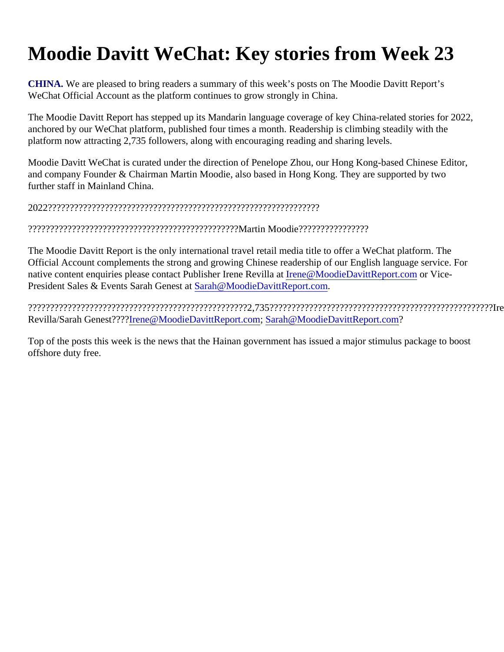## Moodie Davitt WeChat: Key stories from Week 23

CHINA. We are pleased to bring readers a summary of this week's posts on The Moodie Davitt Report's WeChat Official Account as the platform continues to grow strongly in China.

The Moodie Davitt Report has stepped up its Mandarin language coverage of key China-related stories for 20 anchored by our WeChat platform, published four times a month. Readership is climbing steadily with the platform now attracting 2,735 followers, along with encouraging reading and sharing levels.

Moodie Davitt WeChat is curated under the direction of Penelope Zhou, our Hong Kong-based Chinese Edito and company Founder & Chairman Martin Moodie, also based in Hong Kong. They are supported by two further staff in Mainland China.

2022??????????????????????????????????????????????????????????????

????????????????????????????????????????????????Martin Moodie????????????????

The Moodie Davitt Report is the only international travel retail media title to offer a WeChat platform. The Official Account complements the strong and growing Chinese readership of our English language service. For nativecontent enquiries please contact Publisher Irene Revillenat@MoodieDavittReport.com Vice-President Sales & Events Sarah GeneStaath@MoodieDavittReport.com

??????????????????????????????????????????????????2,735???????????????????????????????????????????????????Irene Revilla/Sarah Genest?? Rene@MoodieDavittReport.co[m](mailto:Sarah@MoodieDavittReport.com) [Sarah@MoodieDavittReport.co](mailto:Sarah@MoodieDavittReport.com)m

Top of the posts this week is the news that the Hainan government has issued a major stimulus package to b offshore duty free.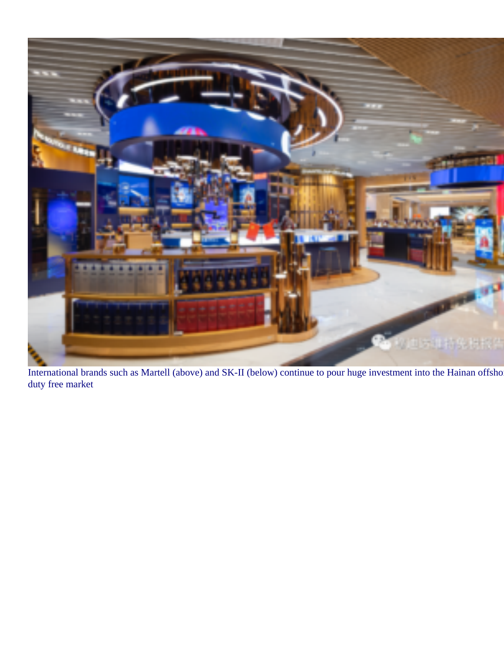

International brands such as Martell (above) and SK-II (below) continue to pour huge investment into the Hainan offshore duty free market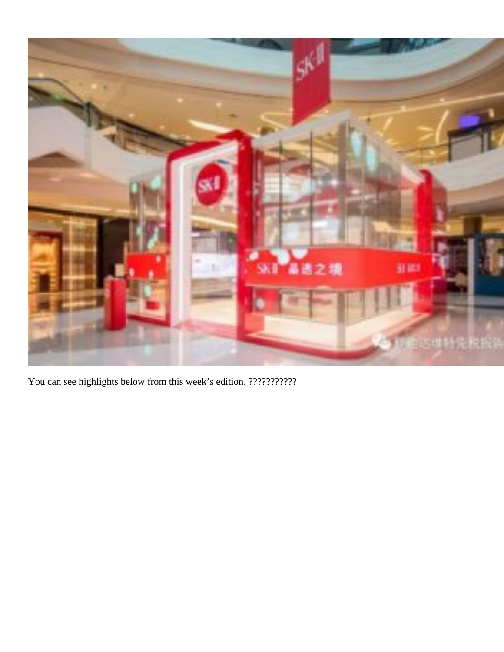

You can see highlights below from this week's edition. ???????????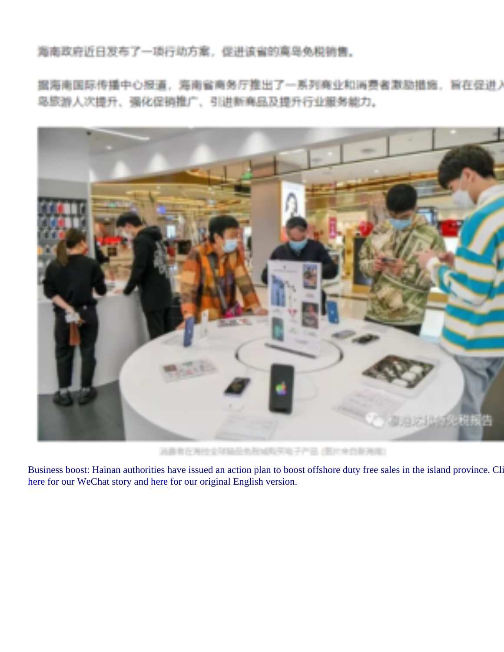Business boost: Hainan authorities have issued an action plan to boost offshore duty free sales in the island p herefor our WeChat story and derefor our original English version.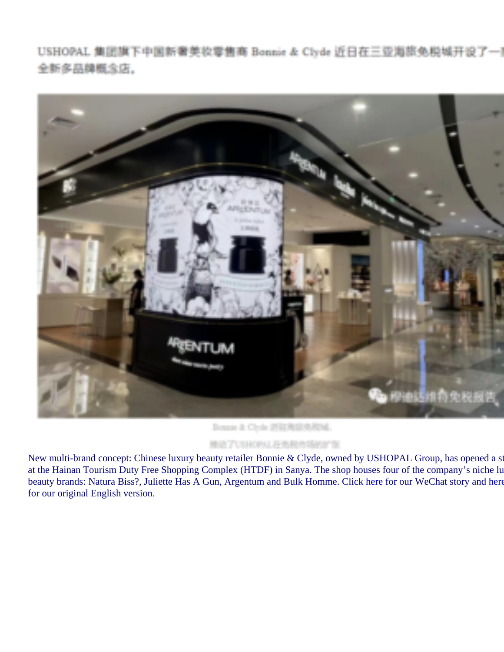New multi-brand concept: Chinese luxury beauty retailer Bonnie & Clyde, owned by USHOPAL Group, has op at the Hainan Tourism Duty Free Shopping Complex (HTDF) in Sanya. The shop houses four of the company beauty brands: Natura Biss?, Juliette Has A Gun, Argentum and Bulk Hommeh**@litt**r our WeChat story ant there for our original English version.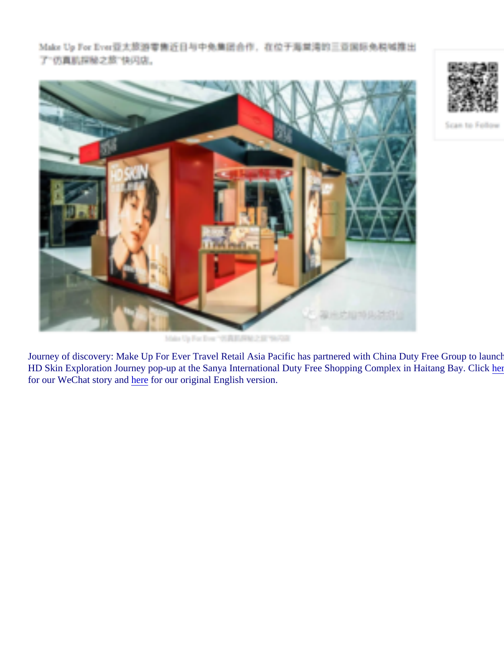Journey of discovery: Make Up For Ever Travel Retail Asia Pacific has partnered with China Duty Free Group HD Skin Exploration Journey pop-up at the Sanya International Duty Free Shopping Complex in Haitang Bay. for our WeChat story and erefor our original English version.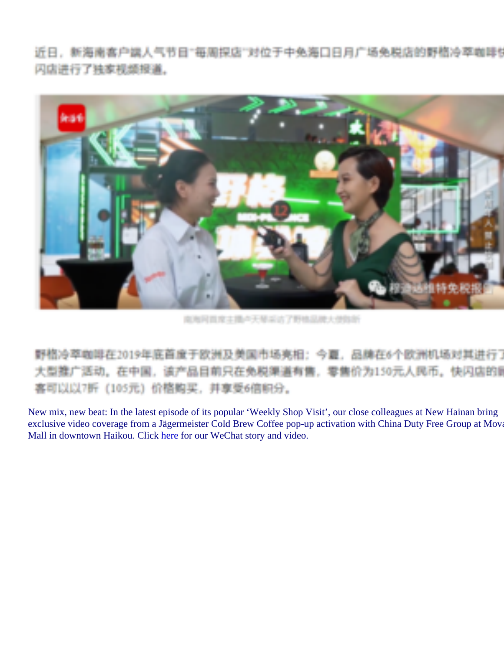New mix, new beat: In the latest episode of its popular 'Weekly Shop Visit', our close colleagues at New Hain exclusive video coverage from a Jägermeister Cold Brew Coffee pop-up activation with China Duty Free Grou Mall in downtown Haikou. Clickherefor our WeChat story and video.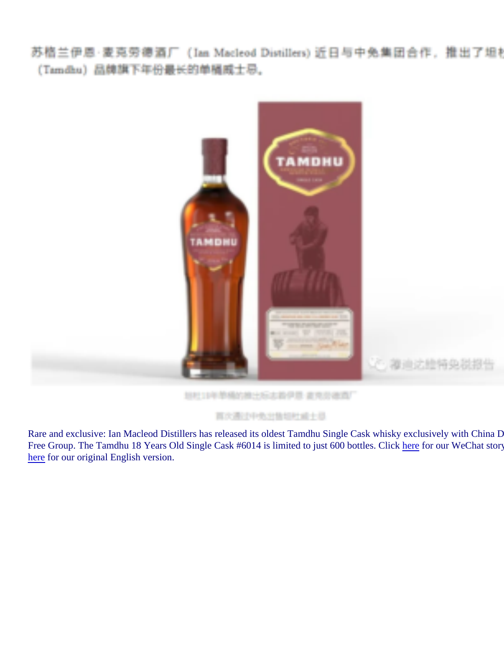Rare and exclusive: Ian Macleod Distillers has released its oldest Tamdhu Single Cask whisky exclusively wit Free Group. The Tamdhu 18 Years Old Single Cask #6014 is limited to just 600 bottlebeCdfok our WeChat sto herefor our original English version.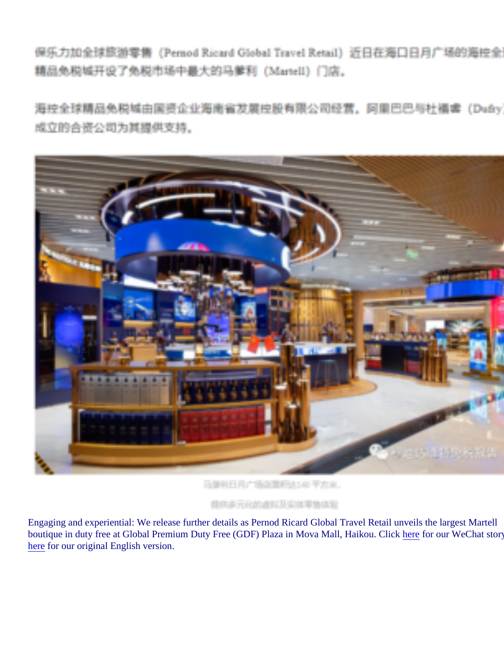Engaging and experiential: We release further details as Pernod Ricard Global Travel Retail unveils the large boutique in duty free at Global Premium Duty Free (GDF) Plaza in Mova Mall, Haikou.heliefor our WeChat sto herefor our original English version.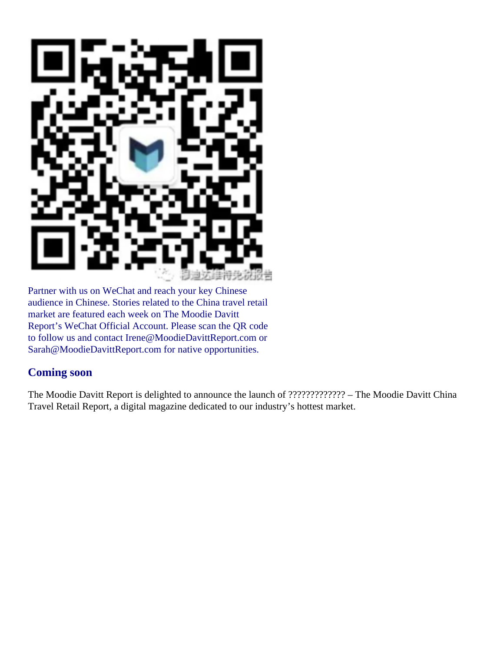

Partner with us on WeChat and reach your key Chinese audience in Chinese. Stories related to the China travel retail market are featured each week on The Moodie Davitt Report's WeChat Official Account. Please scan the QR code to follow us and contact Irene@MoodieDavittReport.com or Sarah@MoodieDavittReport.com for native opportunities.

## **Coming soon**

The Moodie Davitt Report is delighted to announce the launch of ????????????? – The Moodie Davitt China Travel Retail Report, a digital magazine dedicated to our industry's hottest market.